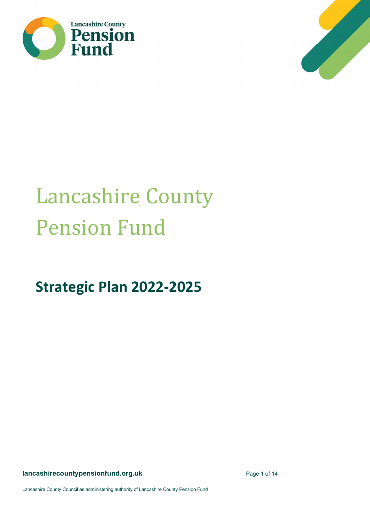



# Lancashire County Pension Fund

Strategic Plan 2022-2025

lancashirecountypensionfund.org.uk example 20 and 20 and 21 and 21 and 21 and 21 and 21 and 21 and 21 and 21 and 22 and 22 and 22 and 22 and 22 and 22 and 22 and 22 and 22 and 22 and 22 and 22 and 22 and 22 and 22 and 22 a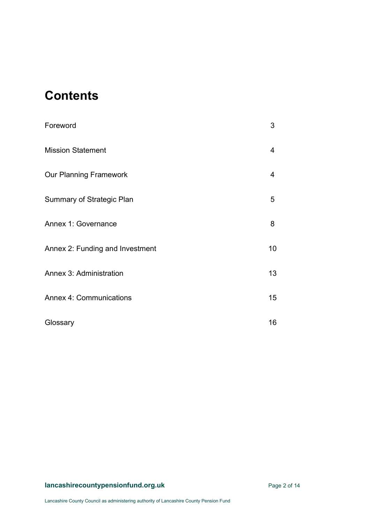## **Contents**

| Foreword                         | 3  |
|----------------------------------|----|
| <b>Mission Statement</b>         | 4  |
| <b>Our Planning Framework</b>    | 4  |
| <b>Summary of Strategic Plan</b> | 5  |
| Annex 1: Governance              | 8  |
| Annex 2: Funding and Investment  | 10 |
| <b>Annex 3: Administration</b>   | 13 |
| <b>Annex 4: Communications</b>   | 15 |
| Glossary                         | 16 |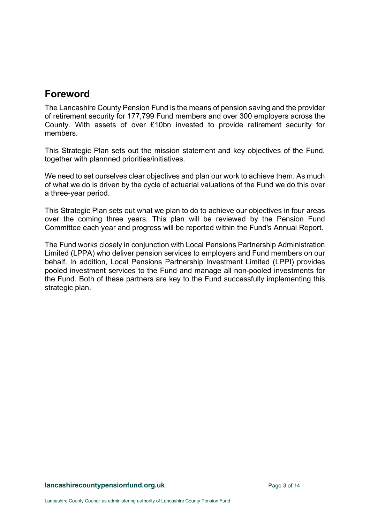## Foreword

The Lancashire County Pension Fund is the means of pension saving and the provider of retirement security for 177,799 Fund members and over 300 employers across the County. With assets of over £10bn invested to provide retirement security for members.

This Strategic Plan sets out the mission statement and key objectives of the Fund, together with plannned priorities/initiatives.

We need to set ourselves clear objectives and plan our work to achieve them. As much of what we do is driven by the cycle of actuarial valuations of the Fund we do this over a three-year period.

This Strategic Plan sets out what we plan to do to achieve our objectives in four areas over the coming three years. This plan will be reviewed by the Pension Fund Committee each year and progress will be reported within the Fund's Annual Report.

The Fund works closely in conjunction with Local Pensions Partnership Administration Limited (LPPA) who deliver pension services to employers and Fund members on our behalf. In addition, Local Pensions Partnership Investment Limited (LPPI) provides pooled investment services to the Fund and manage all non-pooled investments for the Fund. Both of these partners are key to the Fund successfully implementing this strategic plan.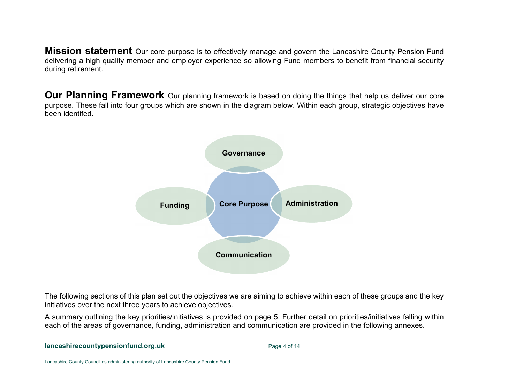**Mission statement** Our core purpose is to effectively manage and govern the Lancashire County Pension Fund delivering a high quality member and employer experience so allowing Fund members to benefit from financial security during retirement.

**Our Planning Framework** Our planning framework is based on doing the things that help us deliver our core purpose. These fall into four groups which are shown in the diagram below. Within each group, strategic objectives have been identifed.



The following sections of this plan set out the objectives we are aiming to achieve within each of these groups and the key initiatives over the next three years to achieve objectives.

A summary outlining the key priorities/initiatives is provided on page 5. Further detail on priorities/initiatives falling within each of the areas of governance, funding, administration and communication are provided in the following annexes.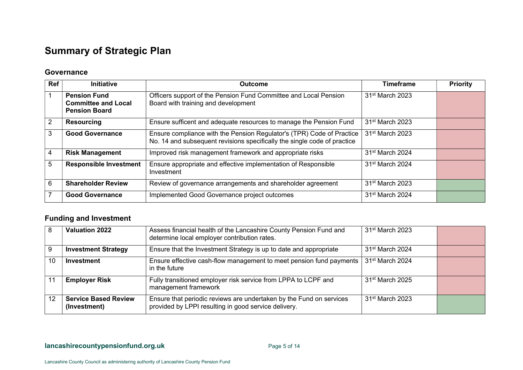## Summary of Strategic Plan

#### **Governance**

| <b>Ref</b> | <b>Initiative</b>                                                         | <b>Outcome</b>                                                                                                                                    | <b>Timeframe</b>            | <b>Priority</b> |
|------------|---------------------------------------------------------------------------|---------------------------------------------------------------------------------------------------------------------------------------------------|-----------------------------|-----------------|
|            | <b>Pension Fund</b><br><b>Committee and Local</b><br><b>Pension Board</b> | Officers support of the Pension Fund Committee and Local Pension<br>Board with training and development                                           | 31 <sup>st</sup> March 2023 |                 |
| 2          | <b>Resourcing</b>                                                         | Ensure sufficent and adequate resources to manage the Pension Fund                                                                                | 31 <sup>st</sup> March 2023 |                 |
| 3          | <b>Good Governance</b>                                                    | Ensure compliance with the Pension Regulator's (TPR) Code of Practice<br>No. 14 and subsequent revisions specifically the single code of practice | 31 <sup>st</sup> March 2023 |                 |
| 4          | <b>Risk Management</b>                                                    | Improved risk management framework and appropriate risks                                                                                          | 31 <sup>st</sup> March 2024 |                 |
| 5          | <b>Responsible Investment</b>                                             | Ensure appropriate and effective implementation of Responsible<br>Investment                                                                      | 31 <sup>st</sup> March 2024 |                 |
| 6          | <b>Shareholder Review</b>                                                 | Review of governance arrangements and shareholder agreement                                                                                       | 31 <sup>st</sup> March 2023 |                 |
|            | <b>Good Governance</b>                                                    | Implemented Good Governance project outcomes                                                                                                      | $31st$ March 2024           |                 |

#### Funding and Investment

| 8  | <b>Valuation 2022</b>                       | Assess financial health of the Lancashire County Pension Fund and<br>determine local employer contribution rates.           | 31 <sup>st</sup> March 2023 |  |
|----|---------------------------------------------|-----------------------------------------------------------------------------------------------------------------------------|-----------------------------|--|
| 9  | <b>Investment Strategy</b>                  | Ensure that the Investment Strategy is up to date and appropriate                                                           | 31 <sup>st</sup> March 2024 |  |
| 10 | Investment                                  | Ensure effective cash-flow management to meet pension fund payments  <br>in the future                                      | 31 <sup>st</sup> March 2024 |  |
|    | <b>Employer Risk</b>                        | Fully transitioned employer risk service from LPPA to LCPF and<br>management framework                                      | 31 <sup>st</sup> March 2025 |  |
| 12 | <b>Service Based Review</b><br>(Investment) | Ensure that periodic reviews are undertaken by the Fund on services<br>provided by LPPI resulting in good service delivery. | 31 <sup>st</sup> March 2023 |  |

lancashirecountypensionfund.org.uk example 20 and 20 approximately page 5 of 14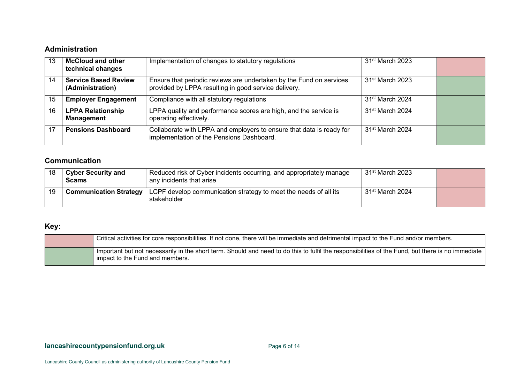#### Administration

| 13 | <b>McCloud and other</b><br>technical changes   | Implementation of changes to statutory regulations                                                                          | 31 <sup>st</sup> March 2023 |  |
|----|-------------------------------------------------|-----------------------------------------------------------------------------------------------------------------------------|-----------------------------|--|
| 14 | <b>Service Based Review</b><br>(Administration) | Ensure that periodic reviews are undertaken by the Fund on services<br>provided by LPPA resulting in good service delivery. | 31 <sup>st</sup> March 2023 |  |
| 15 | <b>Employer Engagement</b>                      | Compliance with all statutory regulations                                                                                   | 31 <sup>st</sup> March 2024 |  |
| 16 | <b>LPPA Relationship</b><br><b>Management</b>   | LPPA quality and performance scores are high, and the service is<br>operating effectively.                                  | 31 <sup>st</sup> March 2024 |  |
|    | <b>Pensions Dashboard</b>                       | Collaborate with LPPA and employers to ensure that data is ready for<br>implementation of the Pensions Dashboard.           | 31 <sup>st</sup> March 2024 |  |

#### Communication

|    | <b>Cyber Security and</b><br><b>Scams</b> | Reduced risk of Cyber incidents occurring, and appropriately manage<br>any incidents that arise | 31 <sup>st</sup> March 2023 |  |
|----|-------------------------------------------|-------------------------------------------------------------------------------------------------|-----------------------------|--|
| 19 | <b>Communication Strategy</b>             | LCPF develop communication strategy to meet the needs of all its<br>stakeholder                 | 31 <sup>st</sup> March 2024 |  |

#### Key:

| Critical activities for core responsibilities. If not done, there will be immediate and detrimental impact to the Fund and/or members.                                               |
|--------------------------------------------------------------------------------------------------------------------------------------------------------------------------------------|
| Important but not necessarily in the short term. Should and need to do this to fulfil the responsibilities of the Fund, but there is no immediate<br>impact to the Fund and members. |

#### lancashirecountypensionfund.org.uk example 20 and the Page 6 of 14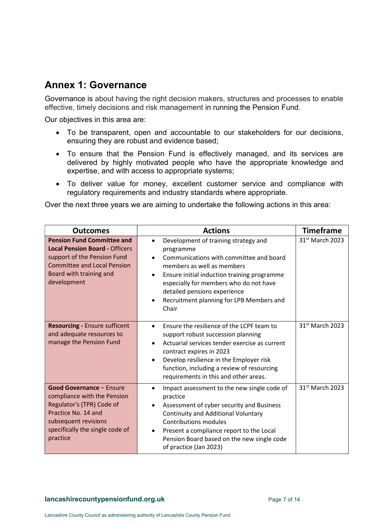## Annex 1: Governance

Governance is about having the right decision makers, structures and processes to enable effective, timely decisions and risk management in running the Pension Fund.

Our objectives in this area are:

- To be transparent, open and accountable to our stakeholders for our decisions, ensuring they are robust and evidence based;
- To ensure that the Pension Fund is effectively managed, and its services are delivered by highly motivated people who have the appropriate knowledge and expertise, and with access to appropriate systems;
- To deliver value for money, excellent customer service and compliance with regulatory requirements and industry standards where appropriate.

Over the next three years we are aiming to undertake the following actions in this area:

| <b>Outcomes</b>                                                                                                                                                                           | <b>Actions</b>                                                                                                                                                                                                                                                                                                                                  | <b>Timeframe</b>            |
|-------------------------------------------------------------------------------------------------------------------------------------------------------------------------------------------|-------------------------------------------------------------------------------------------------------------------------------------------------------------------------------------------------------------------------------------------------------------------------------------------------------------------------------------------------|-----------------------------|
| <b>Pension Fund Committee and</b><br><b>Local Pension Board - Officers</b><br>support of the Pension Fund<br><b>Committee and Local Pension</b><br>Board with training and<br>development | Development of training strategy and<br>$\bullet$<br>programme<br>Communications with committee and board<br>members as well as members<br>Ensure initial induction training programme<br>$\bullet$<br>especially for members who do not have<br>detailed pensions experience<br>Recruitment planning for LPB Members and<br>$\bullet$<br>Chair | 31 <sup>st</sup> March 2023 |
| <b>Resourcing - Ensure sufficent</b><br>and adequate resources to<br>manage the Pension Fund                                                                                              | Ensure the resilience of the LCPF team to<br>$\bullet$<br>support robust succession planning<br>Actuarial services tender exercise as current<br>contract expires in 2023<br>Develop resilience in the Employer risk<br>$\bullet$<br>function, including a review of resourcing<br>requirements in this and other areas.                        | 31 <sup>st</sup> March 2023 |
| <b>Good Governance - Ensure</b><br>compliance with the Pension<br>Regulator's (TPR) Code of<br>Practice No. 14 and<br>subsequent revisions<br>specifically the single code of<br>practice | Impact assessment to the new single code of<br>$\bullet$<br>practice<br>Assessment of cyber security and Business<br>$\bullet$<br><b>Continuity and Additional Voluntary</b><br><b>Contributions modules</b><br>Present a compliance report to the Local<br>Pension Board based on the new single code<br>of practice (Jan 2023)                | 31 <sup>st</sup> March 2023 |

#### lancashirecountypensionfund.org.uk example 2 and a Page 7 of 14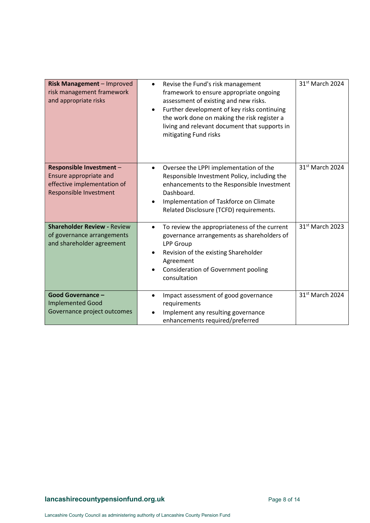| Risk Management - Improved<br>risk management framework<br>and appropriate risks                            | Revise the Fund's risk management<br>$\bullet$<br>framework to ensure appropriate ongoing<br>assessment of existing and new risks.<br>Further development of key risks continuing<br>$\bullet$<br>the work done on making the risk register a<br>living and relevant document that supports in<br>mitigating Fund risks | 31 <sup>st</sup> March 2024 |
|-------------------------------------------------------------------------------------------------------------|-------------------------------------------------------------------------------------------------------------------------------------------------------------------------------------------------------------------------------------------------------------------------------------------------------------------------|-----------------------------|
| Responsible Investment -<br>Ensure appropriate and<br>effective implementation of<br>Responsible Investment | Oversee the LPPI implementation of the<br>$\bullet$<br>Responsible Investment Policy, including the<br>enhancements to the Responsible Investment<br>Dashboard.<br>Implementation of Taskforce on Climate<br>$\bullet$<br>Related Disclosure (TCFD) requirements.                                                       | 31 <sup>st</sup> March 2024 |
| <b>Shareholder Review - Review</b><br>of governance arrangements<br>and shareholder agreement               | To review the appropriateness of the current<br>$\bullet$<br>governance arrangements as shareholders of<br><b>LPP Group</b><br>Revision of the existing Shareholder<br>$\bullet$<br>Agreement<br><b>Consideration of Government pooling</b><br>consultation                                                             | 31 <sup>st</sup> March 2023 |
| <b>Good Governance -</b><br><b>Implemented Good</b><br>Governance project outcomes                          | Impact assessment of good governance<br>$\bullet$<br>requirements<br>Implement any resulting governance<br>enhancements required/preferred                                                                                                                                                                              | 31 <sup>st</sup> March 2024 |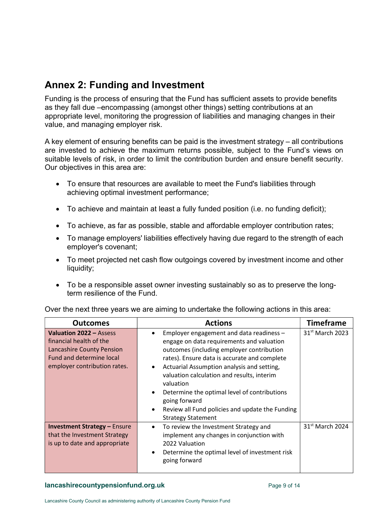## Annex 2: Funding and Investment

Funding is the process of ensuring that the Fund has sufficient assets to provide benefits as they fall due –encompassing (amongst other things) setting contributions at an appropriate level, monitoring the progression of liabilities and managing changes in their value, and managing employer risk.

A key element of ensuring benefits can be paid is the investment strategy – all contributions are invested to achieve the maximum returns possible, subject to the Fund's views on suitable levels of risk, in order to limit the contribution burden and ensure benefit security. Our objectives in this area are:

- To ensure that resources are available to meet the Fund's liabilities through achieving optimal investment performance;
- To achieve and maintain at least a fully funded position (i.e. no funding deficit);
- To achieve, as far as possible, stable and affordable employer contribution rates;
- To manage employers' liabilities effectively having due regard to the strength of each employer's covenant;
- To meet projected net cash flow outgoings covered by investment income and other liquidity;
- To be a responsible asset owner investing sustainably so as to preserve the longterm resilience of the Fund.

| <b>Outcomes</b>                                                                                                                                    | <b>Actions</b>                                                                                                                                                                                                                                                                                                                                                                                                                                                                                   | <b>Timeframe</b>            |
|----------------------------------------------------------------------------------------------------------------------------------------------------|--------------------------------------------------------------------------------------------------------------------------------------------------------------------------------------------------------------------------------------------------------------------------------------------------------------------------------------------------------------------------------------------------------------------------------------------------------------------------------------------------|-----------------------------|
| Valuation 2022 - Assess<br>financial health of the<br><b>Lancashire County Pension</b><br>Fund and determine local<br>employer contribution rates. | Employer engagement and data readiness -<br>$\bullet$<br>engage on data requirements and valuation<br>outcomes (including employer contribution<br>rates). Ensure data is accurate and complete<br>Actuarial Assumption analysis and setting,<br>$\bullet$<br>valuation calculation and results, interim<br>valuation<br>Determine the optimal level of contributions<br>$\bullet$<br>going forward<br>Review all Fund policies and update the Funding<br>$\bullet$<br><b>Strategy Statement</b> | 31 <sup>st</sup> March 2023 |
| <b>Investment Strategy - Ensure</b><br>that the Investment Strategy<br>is up to date and appropriate                                               | To review the Investment Strategy and<br>$\bullet$<br>implement any changes in conjunction with<br>2022 Valuation<br>Determine the optimal level of investment risk<br>$\bullet$<br>going forward                                                                                                                                                                                                                                                                                                | 31 <sup>st</sup> March 2024 |

Over the next three years we are aiming to undertake the following actions in this area:

#### lancashirecountypensionfund.org.uk example 2 and 2 and 2 and 2 and 2 and 2 and 2 and 2 and 2 and 2 and 2 and 2 and 2 and 2 and 2 and 2 and 2 and 2 and 2 and 2 and 2 and 2 and 2 and 2 and 2 and 2 and 2 and 2 and 2 and 2 and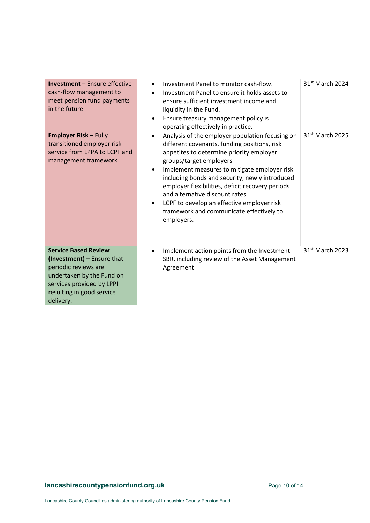| <b>Investment</b> - Ensure effective<br>cash-flow management to<br>meet pension fund payments<br>in the future<br><b>Employer Risk - Fully</b><br>transitioned employer risk<br>service from LPPA to LCPF and<br>management framework | Investment Panel to monitor cash-flow.<br>$\bullet$<br>Investment Panel to ensure it holds assets to<br>ensure sufficient investment income and<br>liquidity in the Fund.<br>Ensure treasury management policy is<br>$\bullet$<br>operating effectively in practice.<br>Analysis of the employer population focusing on<br>$\bullet$<br>different covenants, funding positions, risk<br>appetites to determine priority employer<br>groups/target employers<br>Implement measures to mitigate employer risk<br>٠<br>including bonds and security, newly introduced<br>employer flexibilities, deficit recovery periods<br>and alternative discount rates<br>LCPF to develop an effective employer risk<br>$\bullet$<br>framework and communicate effectively to<br>employers. | $31st$ March 2024<br>31 <sup>st</sup> March 2025 |
|---------------------------------------------------------------------------------------------------------------------------------------------------------------------------------------------------------------------------------------|-------------------------------------------------------------------------------------------------------------------------------------------------------------------------------------------------------------------------------------------------------------------------------------------------------------------------------------------------------------------------------------------------------------------------------------------------------------------------------------------------------------------------------------------------------------------------------------------------------------------------------------------------------------------------------------------------------------------------------------------------------------------------------|--------------------------------------------------|
| <b>Service Based Review</b><br>(Investment) - Ensure that<br>periodic reviews are<br>undertaken by the Fund on<br>services provided by LPPI<br>resulting in good service<br>delivery.                                                 | Implement action points from the Investment<br>$\bullet$<br>SBR, including review of the Asset Management<br>Agreement                                                                                                                                                                                                                                                                                                                                                                                                                                                                                                                                                                                                                                                        | 31 <sup>st</sup> March 2023                      |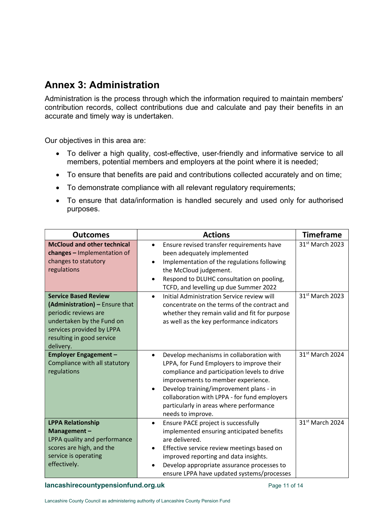## Annex 3: Administration

Administration is the process through which the information required to maintain members' contribution records, collect contributions due and calculate and pay their benefits in an accurate and timely way is undertaken.

Our objectives in this area are:

- To deliver a high quality, cost-effective, user-friendly and informative service to all members, potential members and employers at the point where it is needed;
- To ensure that benefits are paid and contributions collected accurately and on time;
- To demonstrate compliance with all relevant regulatory requirements;
- To ensure that data/information is handled securely and used only for authorised purposes.

| <b>Outcomes</b>                                                                                                                                                                           | <b>Actions</b>                                                                                                                                                                                                                                                                                                                                                   | <b>Timeframe</b>            |
|-------------------------------------------------------------------------------------------------------------------------------------------------------------------------------------------|------------------------------------------------------------------------------------------------------------------------------------------------------------------------------------------------------------------------------------------------------------------------------------------------------------------------------------------------------------------|-----------------------------|
| <b>McCloud and other technical</b><br>changes - Implementation of<br>changes to statutory<br>regulations                                                                                  | Ensure revised transfer requirements have<br>$\bullet$<br>been adequately implemented<br>Implementation of the regulations following<br>$\bullet$<br>the McCloud judgement.<br>Respond to DLUHC consultation on pooling,<br>$\bullet$<br>TCFD, and levelling up due Summer 2022                                                                                  | 31 <sup>st</sup> March 2023 |
| <b>Service Based Review</b><br>(Administration) - Ensure that<br>periodic reviews are<br>undertaken by the Fund on<br>services provided by LPPA<br>resulting in good service<br>delivery. | Initial Administration Service review will<br>$\bullet$<br>concentrate on the terms of the contract and<br>whether they remain valid and fit for purpose<br>as well as the key performance indicators                                                                                                                                                            | 31 <sup>st</sup> March 2023 |
| <b>Employer Engagement -</b><br>Compliance with all statutory<br>regulations                                                                                                              | Develop mechanisms in collaboration with<br>$\bullet$<br>LPPA, for Fund Employers to improve their<br>compliance and participation levels to drive<br>improvements to member experience.<br>Develop training/improvement plans - in<br>$\bullet$<br>collaboration with LPPA - for fund employers<br>particularly in areas where performance<br>needs to improve. | 31 <sup>st</sup> March 2024 |
| <b>LPPA Relationship</b><br>Management-<br>LPPA quality and performance<br>scores are high, and the<br>service is operating<br>effectively.                                               | Ensure PACE project is successfully<br>$\bullet$<br>implemented ensuring anticipated benefits<br>are delivered.<br>Effective service review meetings based on<br>$\bullet$<br>improved reporting and data insights.<br>Develop appropriate assurance processes to<br>ensure LPPA have updated systems/processes                                                  | 31st March 2024             |

lancashirecountypensionfund.org.uk example 20 and 20 approximately page 11 of 14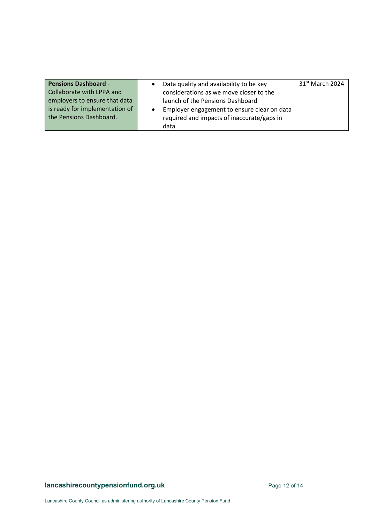| <b>Pensions Dashboard -</b>    | Data quality and availability to be key     | 31 <sup>st</sup> March 2024 |
|--------------------------------|---------------------------------------------|-----------------------------|
| Collaborate with LPPA and      | considerations as we move closer to the     |                             |
| employers to ensure that data  | launch of the Pensions Dashboard            |                             |
| is ready for implementation of | Employer engagement to ensure clear on data |                             |
| the Pensions Dashboard.        | required and impacts of inaccurate/gaps in  |                             |
|                                | data                                        |                             |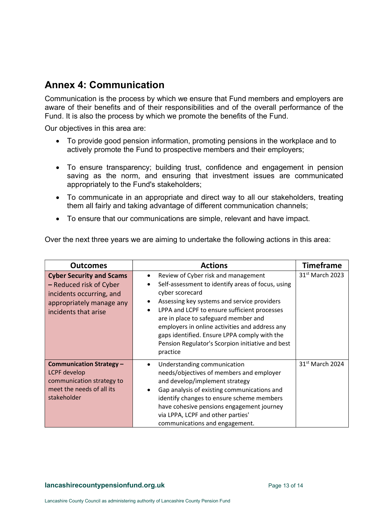## Annex 4: Communication

Communication is the process by which we ensure that Fund members and employers are aware of their benefits and of their responsibilities and of the overall performance of the Fund. It is also the process by which we promote the benefits of the Fund.

Our objectives in this area are:

- To provide good pension information, promoting pensions in the workplace and to actively promote the Fund to prospective members and their employers;
- To ensure transparency; building trust, confidence and engagement in pension saving as the norm, and ensuring that investment issues are communicated appropriately to the Fund's stakeholders;
- To communicate in an appropriate and direct way to all our stakeholders, treating them all fairly and taking advantage of different communication channels;
- To ensure that our communications are simple, relevant and have impact.

Over the next three years we are aiming to undertake the following actions in this area:

| <b>Outcomes</b>                                                                                                                            | <b>Actions</b>                                                                                                                                                                                                                                                                                                                                                                                                                                      | <b>Timeframe</b>            |
|--------------------------------------------------------------------------------------------------------------------------------------------|-----------------------------------------------------------------------------------------------------------------------------------------------------------------------------------------------------------------------------------------------------------------------------------------------------------------------------------------------------------------------------------------------------------------------------------------------------|-----------------------------|
| <b>Cyber Security and Scams</b><br>- Reduced risk of Cyber<br>incidents occurring, and<br>appropriately manage any<br>incidents that arise | Review of Cyber risk and management<br>٠<br>Self-assessment to identify areas of focus, using<br>$\bullet$<br>cyber scorecard<br>Assessing key systems and service providers<br>$\bullet$<br>LPPA and LCPF to ensure sufficient processes<br>are in place to safeguard member and<br>employers in online activities and address any<br>gaps identified. Ensure LPPA comply with the<br>Pension Regulator's Scorpion initiative and best<br>practice | $31st$ March 2023           |
| <b>Communication Strategy -</b><br>LCPF develop<br>communication strategy to<br>meet the needs of all its<br>stakeholder                   | Understanding communication<br>٠<br>needs/objectives of members and employer<br>and develop/implement strategy<br>Gap analysis of existing communications and<br>$\bullet$<br>identify changes to ensure scheme members<br>have cohesive pensions engagement journey<br>via LPPA, LCPF and other parties'<br>communications and engagement.                                                                                                         | 31 <sup>st</sup> March 2024 |